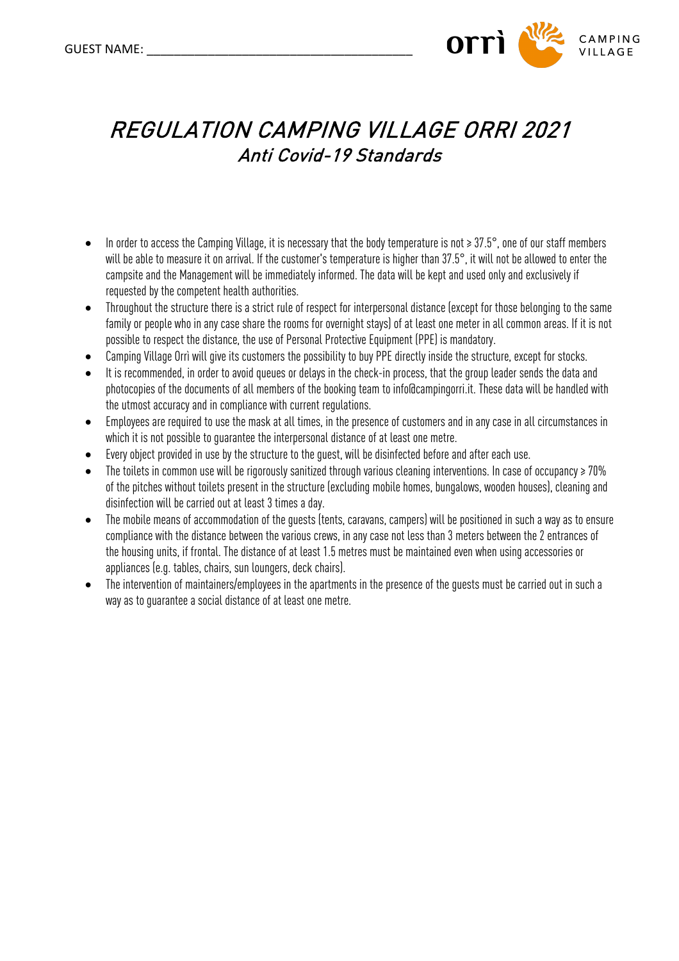

## REGULATION CAMPING VILLAGE ORRI 2021 Anti Covid-19 Standards

- In order to access the Camping Village, it is necessary that the body temperature is not ≥ 37.5°, one of our staff members will be able to measure it on arrival. If the customer's temperature is higher than 37.5°, it will not be allowed to enter the campsite and the Management will be immediately informed. The data will be kept and used only and exclusively if requested by the competent health authorities.
- Throughout the structure there is a strict rule of respect for interpersonal distance (except for those belonging to the same family or people who in any case share the rooms for overnight stays) of at least one meter in all common areas. If it is not possible to respect the distance, the use of Personal Protective Equipment (PPE) is mandatory.
- Camping Village Orrì will give its customers the possibility to buy PPE directly inside the structure, except for stocks.
- It is recommended, in order to avoid queues or delays in the check-in process, that the group leader sends the data and photocopies of the documents of all members of the booking team to info@campingorri.it. These data will be handled with the utmost accuracy and in compliance with current regulations.
- Employees are required to use the mask at all times, in the presence of customers and in any case in all circumstances in which it is not possible to guarantee the interpersonal distance of at least one metre.
- Every object provided in use by the structure to the guest, will be disinfected before and after each use.
- The toilets in common use will be rigorously sanitized through various cleaning interventions. In case of occupancy ≥ 70% of the pitches without toilets present in the structure (excluding mobile homes, bungalows, wooden houses), cleaning and disinfection will be carried out at least 3 times a day.
- The mobile means of accommodation of the guests (tents, caravans, campers) will be positioned in such a way as to ensure compliance with the distance between the various crews, in any case not less than 3 meters between the 2 entrances of the housing units, if frontal. The distance of at least 1.5 metres must be maintained even when using accessories or appliances (e.g. tables, chairs, sun loungers, deck chairs).
- The intervention of maintainers/employees in the apartments in the presence of the guests must be carried out in such a way as to guarantee a social distance of at least one metre.